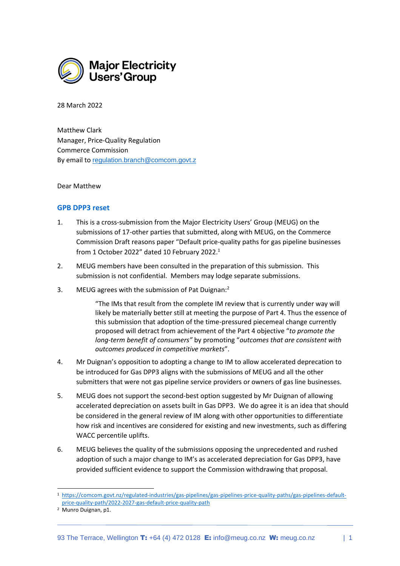

28 March 2022

Matthew Clark Manager, Price-Quality Regulation Commerce Commission By email to [regulation.branch@comcom.govt.z](mailto:regulation.branch@comcom.govt.z)

Dear Matthew

## **GPB DPP3 reset**

- 1. This is a cross-submission from the Major Electricity Users' Group (MEUG) on the submissions of 17-other parties that submitted, along with MEUG, on the Commerce Commission Draft reasons paper "Default price-quality paths for gas pipeline businesses from 1 October 2022" dated 10 February 2022. $^1$
- 2. MEUG members have been consulted in the preparation of this submission. This submission is not confidential. Members may lodge separate submissions.
- 3. MEUG agrees with the submission of Pat Duignan:<sup>2</sup>

"The IMs that result from the complete IM review that is currently under way will likely be materially better still at meeting the purpose of Part 4. Thus the essence of this submission that adoption of the time-pressured piecemeal change currently proposed will detract from achievement of the Part 4 objective "*to promote the long-term benefit of consumers"* by promoting "*outcomes that are consistent with outcomes produced in competitive markets*".

- 4. Mr Duignan's opposition to adopting a change to IM to allow accelerated deprecation to be introduced for Gas DPP3 aligns with the submissions of MEUG and all the other submitters that were not gas pipeline service providers or owners of gas line businesses.
- 5. MEUG does not support the second-best option suggested by Mr Duignan of allowing accelerated depreciation on assets built in Gas DPP3. We do agree it is an idea that should be considered in the general review of IM along with other opportunities to differentiate how risk and incentives are considered for existing and new investments, such as differing WACC percentile uplifts.
- 6. MEUG believes the quality of the submissions opposing the unprecedented and rushed adoption of such a major change to IM's as accelerated depreciation for Gas DPP3, have provided sufficient evidence to support the Commission withdrawing that proposal.

<sup>1</sup> [https://comcom.govt.nz/regulated-industries/gas-pipelines/gas-pipelines-price-quality-paths/gas-pipelines-default](https://comcom.govt.nz/regulated-industries/gas-pipelines/gas-pipelines-price-quality-paths/gas-pipelines-default-price-quality-path/2022-2027-gas-default-price-quality-path)[price-quality-path/2022-2027-gas-default-price-quality-path](https://comcom.govt.nz/regulated-industries/gas-pipelines/gas-pipelines-price-quality-paths/gas-pipelines-default-price-quality-path/2022-2027-gas-default-price-quality-path)

<sup>2</sup> Munro Duignan, p1.